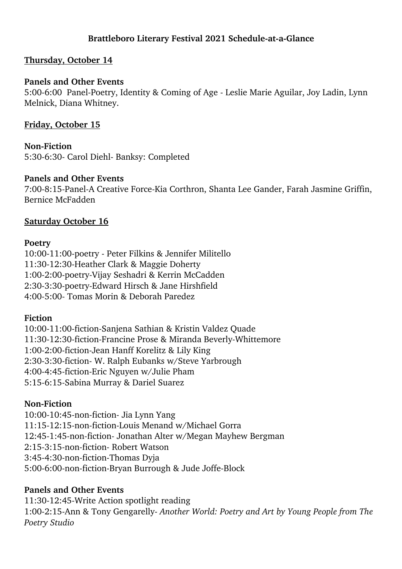## **Brattleboro Literary Festival 2021 Schedule-at-a-Glance**

#### **Thursday, October 14**

#### **Panels and Other Events**

5:00-6:00 Panel-Poetry, Identity & Coming of Age -Leslie Marie Aguilar, Joy Ladin, Lynn Melnick, Diana Whitney.

#### **Friday, October 15**

**Non-Fiction** 5:30-6:30- Carol Diehl- Banksy: Completed

#### **Panels and Other Events**

7:00-8:15-Panel-A Creative Force-Kia Corthron, Shanta Lee Gander, Farah Jasmine Griffin, Bernice McFadden

### **Saturday October 16**

#### **Poetry**

10:00-11:00-poetry - Peter Filkins & Jennifer Militello 11:30-12:30-Heather Clark & Maggie Doherty 1:00-2:00-poetry-Vijay Seshadri & Kerrin McCadden 2:30-3:30-poetry-Edward Hirsch & Jane Hirshfield 4:00-5:00- Tomas Morin & Deborah Paredez

#### **Fiction**

10:00-11:00-fiction-Sanjena Sathian & Kristin Valdez Quade 11:30-12:30-fiction-Francine Prose & Miranda Beverly-Whittemore 1:00-2:00-fiction-Jean Hanff Korelitz & Lily King 2:30-3:30-fiction- W. Ralph Eubanks w/Steve Yarbrough 4:00-4:45-fiction-Eric Nguyen w/Julie Pham 5:15-6:15-Sabina Murray & Dariel Suarez

### **Non-Fiction**

10:00-10:45-non-fiction- Jia Lynn Yang 11:15-12:15-non-fiction-Louis Menand w/Michael Gorra 12:45-1:45-non-fiction- Jonathan Alter w/Megan Mayhew Bergman 2:15-3:15-non-fiction- Robert Watson 3:45-4:30-non-fiction-Thomas Dyja 5:00-6:00-non-fiction-Bryan Burrough & Jude Joffe-Block

### **Panels and Other Events**

11:30-12:45-Write Action spotlight reading 1:00-2:15-Ann & Tony Gengarelly- *Another World: Poetry and Art by Young People from The Poetry Studio*